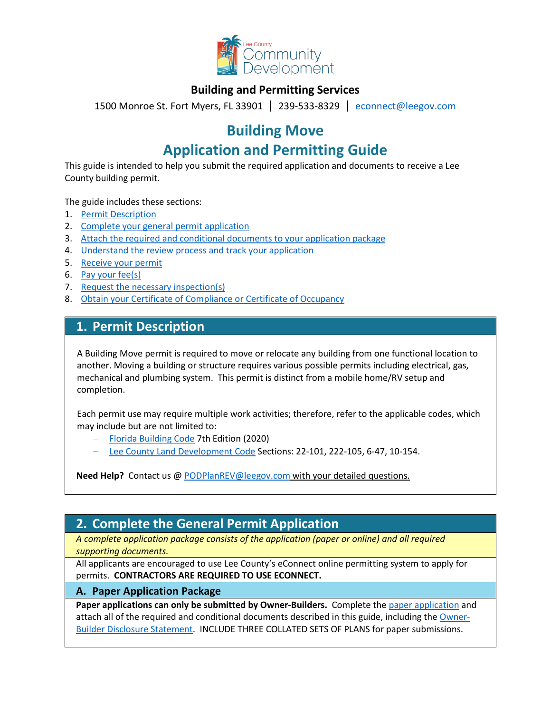

### **Building and Permitting Services**

1500 Monroe St. Fort Myers, FL 33901 | 239-533-8329 |[econnect@leegov.com](mailto:econnect@leegov.com)

# **Building Move**

# **Application and Permitting Guide**

This guide is intended to help you submit the required application and documents to receive a Lee County building permit.

The guide includes these sections:

- 1. [Permit Description](#page-0-0)
- 2. [Complete your general permit application](#page-0-1)
- 3. [Attach the required and conditional documents to your application package](#page-2-0)
- 4. [Understand the review process and track your application](#page-4-0)
- 5. [Receive your permit](#page-4-1)
- 6. [Pay your fee\(s\)](#page-5-0)
- 7. [Request the necessary inspection\(s\)](#page-5-1)
- 8. [Obtain your Certificate of Compliance or Certificate of Occupancy](#page-6-0)

### <span id="page-0-0"></span>**1. Permit Description**

A Building Move permit is required to move or relocate any building from one functional location to another. Moving a building or structure requires various possible permits including electrical, gas, mechanical and plumbing system. This permit is distinct from a mobile home/RV setup and completion.

Each permit use may require multiple work activities; therefore, refer to the applicable codes, which may include but are not limited to:

- − [Florida Building Code](https://codes.iccsafe.org/codes/florida) 7th Edition (2020)
- − [Lee County Land Development Code](https://library.municode.com/fl/lee_county/codes/land_development_code?nodeId=LADECOLECOFL) Sections: 22-101, 222-105, 6-47, 10-154.

**Need Help?** Contact us @ [PODPlanREV@leegov.com](mailto:PODPlanREV@leegov.com) with your detailed questions.

## <span id="page-0-1"></span>**2. Complete the General Permit Application**

*A complete application package consists of the application (paper or online) and all required supporting documents.*

All applicants are encouraged to use Lee County's eConnect online permitting system to apply for permits. **CONTRACTORS ARE REQUIRED TO USE ECONNECT.**

### **A. Paper Application Package**

**Paper applications can only be submitted by Owner-Builders.** Complete the [paper application](https://www.leegov.com/dcd/PermittingDocs/BuildingMove.pdf) and attach all of the required and conditional documents described in this guide, including the [Owner-](https://www.leegov.com/dcd/PermittingDocs/OwnerBldrDisclosure.pdf)[Builder Disclosure Statement.](https://www.leegov.com/dcd/PermittingDocs/OwnerBldrDisclosure.pdf) INCLUDE THREE COLLATED SETS OF PLANS for paper submissions.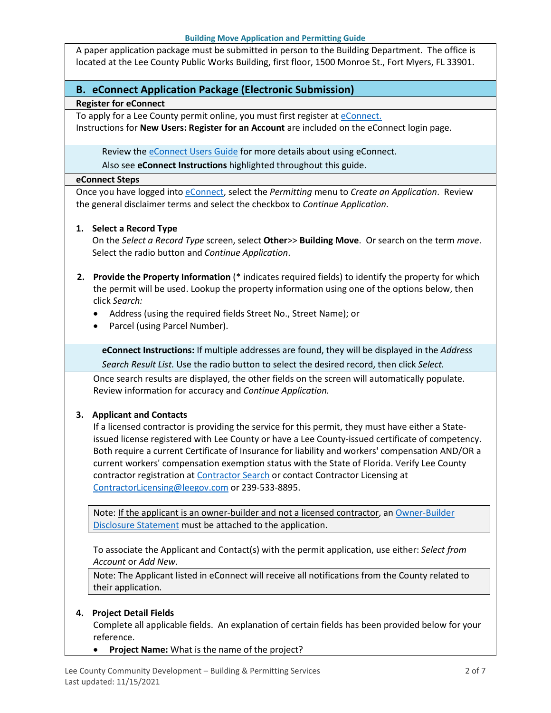A paper application package must be submitted in person to the Building Department. The office is located at the Lee County Public Works Building, first floor, 1500 Monroe St., Fort Myers, FL 33901.

### **B. eConnect Application Package (Electronic Submission)**

#### **Register for eConnect**

To apply for a Lee County permit online, you must first register at [eConnect.](https://accelaaca.leegov.com/aca/) Instructions for **New Users: Register for an Account** are included on the eConnect login page.

Review th[e eConnect Users Guide](https://www.leegov.com/dcd/Documents/eServ/eConnect/eServicesGuide.pdf) for more details about using eConnect.

Also see **eConnect Instructions** highlighted throughout this guide.

#### **eConnect Steps**

Once you have logged into [eConnect,](https://accelaaca.leegov.com/aca/) select the *Permitting* menu to *Create an Application*. Review the general disclaimer terms and select the checkbox to *Continue Application*.

#### **1. Select a Record Type**

On the *Select a Record Type* screen, select **Other**>> **Building Move**. Or search on the term *move*. Select the radio button and *Continue Application*.

- **2. Provide the Property Information** (\* indicates required fields) to identify the property for which the permit will be used. Lookup the property information using one of the options below, then click *Search:*
	- Address (using the required fields Street No., Street Name); or
	- Parcel (using Parcel Number).

**eConnect Instructions:** If multiple addresses are found, they will be displayed in the *Address Search Result List.* Use the radio button to select the desired record, then click *Select.*

Once search results are displayed, the other fields on the screen will automatically populate. Review information for accuracy and *Continue Application.*

### **3. Applicant and Contacts**

If a licensed contractor is providing the service for this permit, they must have either a Stateissued license registered with Lee County or have a Lee County-issued certificate of competency. Both require a current Certificate of Insurance for liability and workers' compensation AND/OR a current workers' compensation exemption status with the State of Florida. Verify Lee County contractor registration at [Contractor Search](https://www.leegov.com/dcd/ContLic/ActCont) or contact Contractor Licensing at [ContractorLicensing@leegov.com](mailto:ContractorLicensing@leegov.com) or 239-533-8895.

Note: If the applicant is an owner-builder and not a licensed contractor, a[n Owner-Builder](https://www.leegov.com/dcd/PermittingDocs/OwnerBldrDisclosure.pdf)  [Disclosure Statement](https://www.leegov.com/dcd/PermittingDocs/OwnerBldrDisclosure.pdf) must be attached to the application.

To associate the Applicant and Contact(s) with the permit application, use either: *Select from Account* or *Add New*.

Note: The Applicant listed in eConnect will receive all notifications from the County related to their application.

#### **4. Project Detail Fields**

Complete all applicable fields. An explanation of certain fields has been provided below for your reference.

• **Project Name:** What is the name of the project?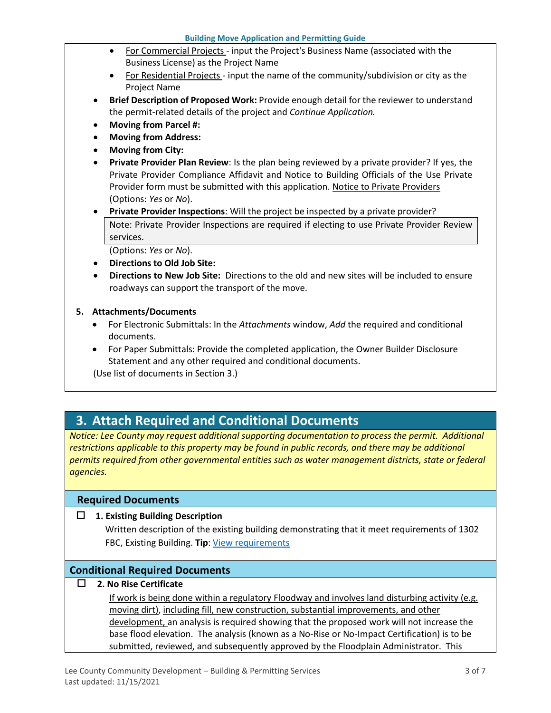- For Commercial Projects input the Project's Business Name (associated with the Business License) as the Project Name
- For Residential Projects input the name of the community/subdivision or city as the Project Name
- **Brief Description of Proposed Work:** Provide enough detail for the reviewer to understand the permit-related details of the project and *Continue Application.*
- **Moving from Parcel #:**
- **Moving from Address:**
- **Moving from City:**
- **Private Provider Plan Review**: Is the plan being reviewed by a private provider? If yes, the Private Provider Compliance Affidavit and Notice to Building Officials of the Use Private Provider form must be submitted with this application. [Notice to Private Providers](https://www.floridabuilding.org/fbc/committees/Private_Providers/Private_Providers.htm) (Options: *Yes* or *No*).
- **Private Provider Inspections**: Will the project be inspected by a private provider? Note: Private Provider Inspections are required if electing to use Private Provider Review services.

(Options: *Yes* or *No*).

- **Directions to Old Job Site:**
- **Directions to New Job Site:** Directions to the old and new sites will be included to ensure roadways can support the transport of the move.

#### **5. Attachments/Documents**

- For Electronic Submittals: In the *Attachments* window, *Add* the required and conditional documents.
- For Paper Submittals: Provide the completed application, the Owner Builder Disclosure Statement and any other required and conditional documents.

(Use list of documents in Section 3.)

### <span id="page-2-0"></span>**3. Attach Required and Conditional Documents**

*Notice: Lee County may request additional supporting documentation to process the permit. Additional*  restrictions applicable to this property may be found in public records, and there may be additional *permits required from other governmental entities such as water management districts, state or federal agencies.*

### **Required Documents**

**1. Existing Building Description**

Written description of the existing building demonstrating that it meet requirements of 1302 FBC, Existing Building. **Tip**[: View requirements](https://up.codes/viewer/florida/fl-existing-building-code-2020/chapter/13/relocated-or-moved-buildings#13)

### **Conditional Required Documents**

**2. No Rise Certificate**

If work is being done within a regulatory Floodway and involves land disturbing activity (e.g. moving dirt), including fill, new construction, substantial improvements, and other development, an analysis is required showing that the proposed work will not increase the base flood elevation. The analysis (known as a No-Rise or No-Impact Certification) is to be submitted, reviewed, and subsequently approved by the Floodplain Administrator. This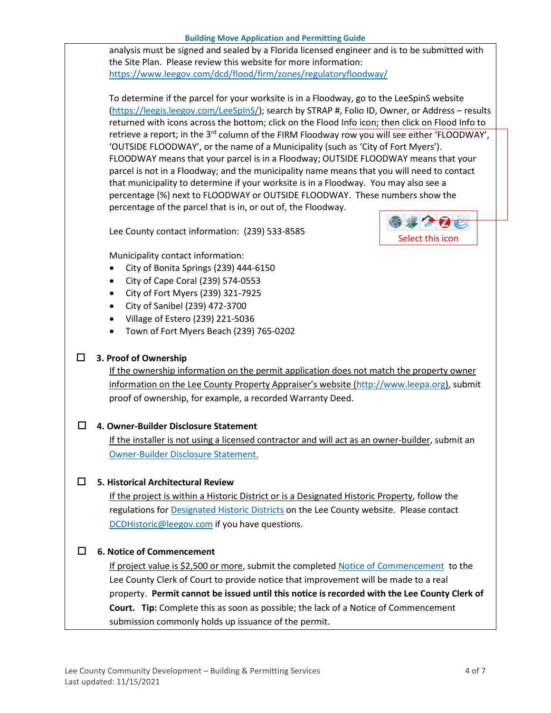analysis must be signed and sealed by a Florida licensed engineer and is to be submitted with the Site Plan. Please review this website for more information: <https://www.leegov.com/dcd/flood/firm/zones/regulatoryfloodway/>

To determine if the parcel for your worksite is in a Floodway, go to the LeeSpinS website [\(https://leegis.leegov.com/LeeSpInS/\)](https://leegis.leegov.com/LeeSpInS/); search by STRAP #, Folio ID, Owner, or Address – results returned with icons across the bottom; click on the Flood Info icon; then click on Flood Info to retrieve a report; in the 3<sup>rd</sup> column of the FIRM Floodway row you will see either 'FLOODWAY', 'OUTSIDE FLOODWAY', or the name of a Municipality (such as 'City of Fort Myers'). FLOODWAY means that your parcel is in a Floodway; OUTSIDE FLOODWAY means that your parcel is not in a Floodway; and the municipality name means that you will need to contact that municipality to determine if your worksite is in a Floodway. You may also see a percentage (%) next to FLOODWAY or OUTSIDE FLOODWAY. These numbers show the percentage of the parcel that is in, or out of, the Floodway.

Lee County contact information: (239) 533-8585



Municipality contact information:

- City of Bonita Springs (239) 444-6150
- City of Cape Coral (239) 574-0553
- City of Fort Myers (239) 321-7925
- City of Sanibel (239) 472-3700
- Village of Estero (239) 221-5036
- Town of Fort Myers Beach (239) 765-0202

### **3. Proof of Ownership**

If the ownership information on the permit application does not match the property owner information on the Lee County Property Appraiser's website [\(http://www.leepa.org\)](http://www.leepa.org/), submit proof of ownership, for example, a recorded Warranty Deed.

### **4. Owner-Builder Disclosure Statement**

If the installer is not using a licensed contractor and will act as an owner-builder, submit an [Owner-Builder Disclosure Statement.](https://www.leegov.com/dcd/PermittingDocs/OwnerBldrDisclosure.pdf)

### **5. Historical Architectural Review**

If the project is within a Historic District or is a Designated Historic Property, follow the regulations for **Designated Historic Districts** on the Lee County website. Please contact [DCDHistoric@leegov.com](mailto:DCDHistoric@leegov.com) if you have questions.

### **6. Notice of Commencement**

If project value is \$2,500 or more, submit the completed [Notice of Commencement](https://www.leegov.com/dcd/PermittingDocs/NoticeofCommencement.pdf) to the Lee County Clerk of Court to provide notice that improvement will be made to a real property. **Permit cannot be issued until this notice is recorded with the Lee County Clerk of Court. Tip:** Complete this as soon as possible; the lack of a Notice of Commencement submission commonly holds up issuance of the permit.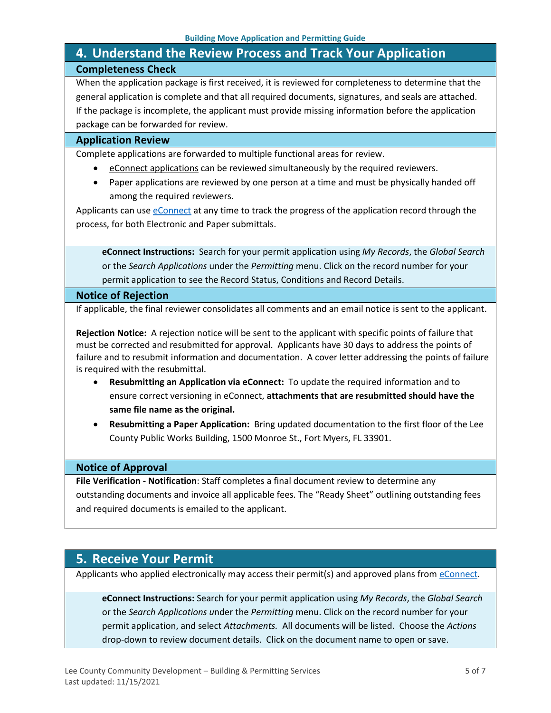## <span id="page-4-0"></span>**4. Understand the Review Process and Track Your Application Completeness Check**

When the application package is first received, it is reviewed for completeness to determine that the general application is complete and that all required documents, signatures, and seals are attached. If the package is incomplete, the applicant must provide missing information before the application package can be forwarded for review.

#### **Application Review**

Complete applications are forwarded to multiple functional areas for review.

- eConnect applications can be reviewed simultaneously by the required reviewers.
- Paper applications are reviewed by one person at a time and must be physically handed off among the required reviewers.

Applicants can use [eConnect](https://accelaaca.leegov.com/aca/) at any time to track the progress of the application record through the process, for both Electronic and Paper submittals.

**eConnect Instructions:** Search for your permit application using *My Records*, the *Global Search* or the *Search Applications* under the *Permitting* menu. Click on the record number for your permit application to see the Record Status, Conditions and Record Details.

#### **Notice of Rejection**

If applicable, the final reviewer consolidates all comments and an email notice is sent to the applicant.

**Rejection Notice:** A rejection notice will be sent to the applicant with specific points of failure that must be corrected and resubmitted for approval. Applicants have 30 days to address the points of failure and to resubmit information and documentation. A cover letter addressing the points of failure is required with the resubmittal.

- **Resubmitting an Application via eConnect:** To update the required information and to ensure correct versioning in eConnect, **attachments that are resubmitted should have the same file name as the original.**
- **Resubmitting a Paper Application:** Bring updated documentation to the first floor of the Lee County Public Works Building, 1500 Monroe St., Fort Myers, FL 33901.

#### **Notice of Approval**

**File Verification - Notification**: Staff completes a final document review to determine any outstanding documents and invoice all applicable fees. The "Ready Sheet" outlining outstanding fees and required documents is emailed to the applicant.

### <span id="page-4-1"></span>**5. Receive Your Permit**

Applicants who applied electronically may access their permit(s) and approved plans from [eConnect.](https://accelaaca.leegov.com/aca/)

**eConnect Instructions:** Search for your permit application using *My Records*, the *Global Search* or the *Search Applications u*nder the *Permitting* menu. Click on the record number for your permit application, and select *Attachments.* All documents will be listed. Choose the *Actions*  drop-down to review document details. Click on the document name to open or save.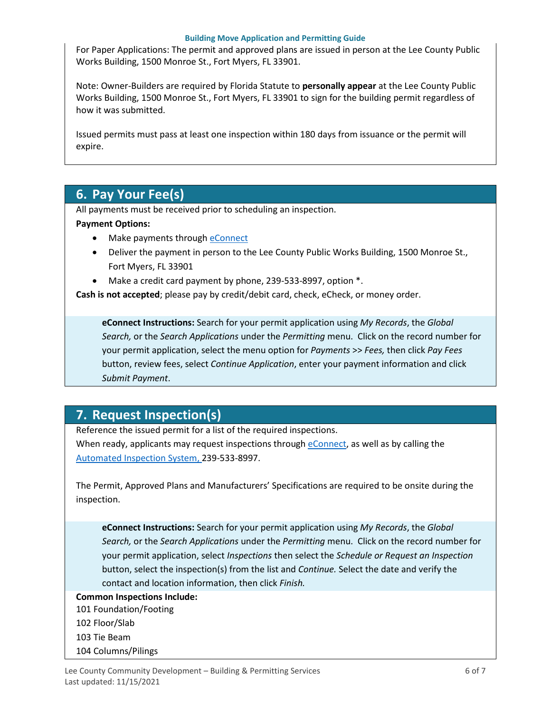For Paper Applications: The permit and approved plans are issued in person at the Lee County Public Works Building, 1500 Monroe St., Fort Myers, FL 33901.

Note: Owner-Builders are required by Florida Statute to **personally appear** at the Lee County Public Works Building, 1500 Monroe St., Fort Myers, FL 33901 to sign for the building permit regardless of how it was submitted.

Issued permits must pass at least one inspection within 180 days from issuance or the permit will expire.

## <span id="page-5-0"></span>**6. Pay Your Fee(s)**

All payments must be received prior to scheduling an inspection.

#### **Payment Options:**

- Make payments through [eConnect](https://accelaaca.leegov.com/aca/)
- Deliver the payment in person to the Lee County Public Works Building, 1500 Monroe St., Fort Myers, FL 33901
- Make a credit card payment by phone, 239-533-8997, option \*.

**Cash is not accepted**; please pay by credit/debit card, check, eCheck, or money order.

**eConnect Instructions:** Search for your permit application using *My Records*, the *Global Search,* or the *Search Applications* under the *Permitting* menu. Click on the record number for your permit application, select the menu option for *Payments* >> *Fees,* then click *Pay Fees* button, review fees, select *Continue Application*, enter your payment information and click *Submit Payment*.

## <span id="page-5-1"></span>**7. Request Inspection(s)**

Reference the issued permit for a list of the required inspections. When ready, applicants may request inspections through [eConnect,](https://accelaaca.leegov.com/aca/) as well as by calling the [Automated Inspection System,](https://www.leegov.com/dcd/BldPermitServ/Insp/AutoInsp) 239-533-8997.

The Permit, Approved Plans and Manufacturers' Specifications are required to be onsite during the inspection.

**eConnect Instructions:** Search for your permit application using *My Records*, the *Global Search,* or the *Search Applications* under the *Permitting* menu. Click on the record number for your permit application, select *Inspections* then select the *Schedule or Request an Inspection* button, select the inspection(s) from the list and *Continue.* Select the date and verify the contact and location information, then click *Finish.*

#### **Common Inspections Include:**

101 Foundation/Footing

- 102 Floor/Slab
- 103 Tie Beam
- 104 Columns/Pilings